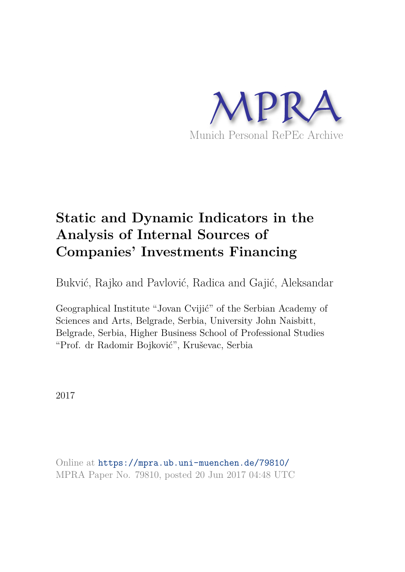

# **Static and Dynamic Indicators in the Analysis of Internal Sources of Companies' Investments Financing**

Bukvić, Rajko and Pavlović, Radica and Gajić, Aleksandar

Geographical Institute "Jovan Cvijić" of the Serbian Academy of Sciences and Arts, Belgrade, Serbia, University John Naisbitt, Belgrade, Serbia, Higher Business School of Professional Studies "Prof. dr Radomir Bojković", Kruševac, Serbia

2017

Online at https://mpra.ub.uni-muenchen.de/79810/ MPRA Paper No. 79810, posted 20 Jun 2017 04:48 UTC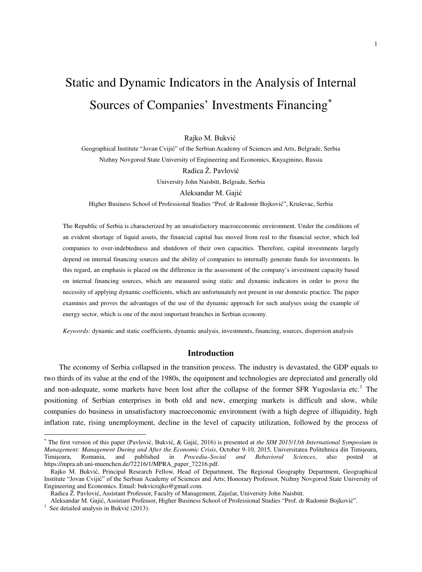# Static and Dynamic Indicators in the Analysis of Internal Sources of Companies' Investments Financing[∗](#page-1-0)

Rajko M. Bukvić

Geographical Institute "Jovan Cvijić" of the Serbian Academy of Sciences and Arts, Belgrade, Serbia Nizhny Novgorod State University of Engineering and Economics, Knyaginino, Russia Radica Ž. Pavlović University John Naisbitt, Belgrade, Serbia Aleksandar M. Gajić

Higher Business School of Professional Studies "Prof. dr Radomir Bojković", Kruševac, Serbia

The Republic of Serbia is characterized by an unsatisfactory macroeconomic environment. Under the conditions of an evident shortage of liquid assets, the financial capital has moved from real to the financial sector, which led companies to over-indebtedness and shutdown of their own capacities. Therefore, capital investments largely depend on internal financing sources and the ability of companies to internally generate funds for investments. In this regard, an emphasis is placed on the difference in the assessment of the company's investment capacity based on internal financing sources, which are measured using static and dynamic indicators in order to prove the necessity of applying dynamic coefficients, which are unfortunately not present in our domestic practice. The paper examines and proves the advantages of the use of the dynamic approach for such analyses using the example of energy sector, which is one of the most important branches in Serbian economy.

*Keywords:* dynamic and static coefficients, dynamic analysis, investments, financing, sources, dispersion analysis

## **Introduction**

The economy of Serbia collapsed in the transition process. The industry is devastated, the GDP equals to two thirds of its value at the end of the 1980s, the equipment and technologies are depreciated and generally old and non-adequate, some markets have been lost after the collapse of the former SFR Yugoslavia etc.<sup>[1](#page-1-1)</sup> The positioning of Serbian enterprises in both old and new, emerging markets is difficult and slow, while companies do business in unsatisfactory macroeconomic environment (with a high degree of illiquidity, high inflation rate, rising unemployment, decline in the level of capacity utilization, followed by the process of

l

<span id="page-1-0"></span><sup>∗</sup> The first version of this paper (Pavlović, Bukvić, & Gajić, 2016) is presented at *the SIM 2015*/*13th International Symposium in Management: Management During and After the Economic Crisis*, October 9-10, 2015, Universitatea Politehnica din Timişoara, Timişoara, Romania, and published in *Procedia–Social and Behavioral Sciences*, also posted at https://mpra.ub.uni-muenchen.de/72216/1/MPRA\_paper\_72216.pdf.

Rajko M. Bukvić, Principal Research Fellow, Head of Department, The Regional Geography Department, Geographical Institute "Jovan Cvijić" of the Serbian Academy of Sciences and Arts; Honorary Professor, Nizhny Novgorod State University of Engineering and Economics. Email: bukvicrajko@gmail.com.

Radica Ž. Pavlović, Assistant Professor, Faculty of Management, Zaječar, University John Naisbitt.

Aleksandar M. Gajić, Assistant Professor, Higher Business School of Professional Studies "Prof. dr Radomir Bojković".

<span id="page-1-1"></span><sup>&</sup>lt;sup>1</sup> See detailed analysis in Bukvić (2013).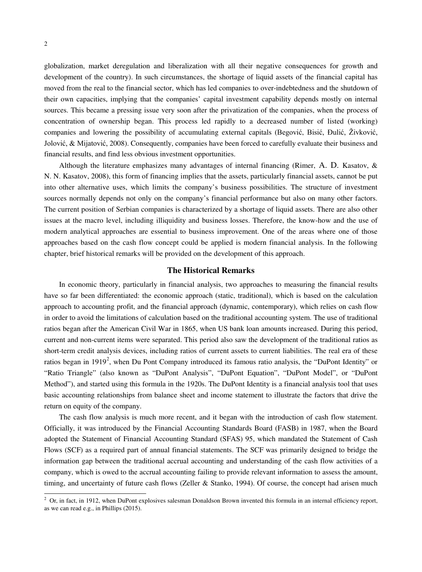globalization, market deregulation and liberalization with all their negative consequences for growth and development of the country). In such circumstances, the shortage of liquid assets of the financial capital has moved from the real to the financial sector, which has led companies to over-indebtedness and the shutdown of their own capacities, implying that the companies' capital investment capability depends mostly on internal sources. This became a pressing issue very soon after the privatization of the companies, when the process of concentration of ownership began. This process led rapidly to a decreased number of listed (working) companies and lowering the possibility of accumulating external capitals (Begović, Bisić, Đulić, Živković, Jolović, & Mijatović, 2008). Consequently, companies have been forced to carefully evaluate their business and financial results, and find less obvious investment opportunities.

Although the literature emphasizes many advantages of internal financing (Rimer, A. D. Kasatov, & N. N. Kasatov, 2008), this form of financing implies that the assets, particularly financial assets, cannot be put into other alternative uses, which limits the company's business possibilities. The structure of investment sources normally depends not only on the company's financial performance but also on many other factors. The current position of Serbian companies is characterized by a shortage of liquid assets. There are also other issues at the macro level, including illiquidity and business losses. Therefore, the know-how and the use of modern analytical approaches are essential to business improvement. One of the areas where one of those approaches based on the cash flow concept could be applied is modern financial analysis. In the following chapter, brief historical remarks will be provided on the development of this approach.

## **The Historical Remarks**

In economic theory, particularly in financial analysis, two approaches to measuring the financial results have so far been differentiated: the economic approach (static, traditional), which is based on the calculation approach to accounting profit, and the financial approach (dynamic, contemporary), which relies on cash flow in order to avoid the limitations of calculation based on the traditional accounting system. The use of traditional ratios began after the American Civil War in 1865, when US bank loan amounts increased. During this period, current and non-current items were separated. This period also saw the development of the traditional ratios as short-term credit analysis devices, including ratios of current assets to current liabilities. The real era of these ratios began in 1919<sup>[2](#page-2-0)</sup>, when Du Pont Company introduced its famous ratio analysis, the "DuPont Identity" or "Ratio Triangle" (also known as "DuPont Analysis", "DuPont Equation", "DuPont Model", or "DuPont Method"), and started using this formula in the 1920s. The DuPont Identity is a financial analysis tool that uses basic accounting relationships from balance sheet and income statement to illustrate the factors that drive the return on equity of the company.

The cash flow analysis is much more recent, and it began with the introduction of cash flow statement. Officially, it was introduced by the Financial Accounting Standards Board (FASB) in 1987, when the Board adopted the Statement of Financial Accounting Standard (SFAS) 95, which mandated the Statement of Cash Flows (SCF) as a required part of annual financial statements. The SCF was primarily designed to bridge the information gap between the traditional accrual accounting and understanding of the cash flow activities of a company, which is owed to the accrual accounting failing to provide relevant information to assess the amount, timing, and uncertainty of future cash flows (Zeller & Stanko, 1994). Of course, the concept had arisen much

 $\overline{a}$ 

<span id="page-2-0"></span> $2$  Or, in fact, in 1912, when DuPont explosives salesman Donaldson Brown invented this formula in an internal efficiency report, as we can read e.g., in Phillips (2015).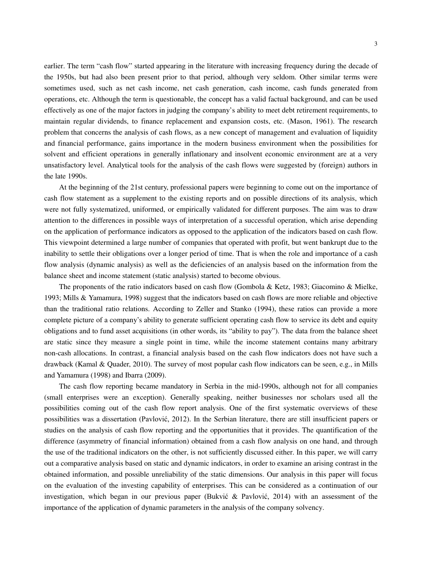earlier. The term "cash flow" started appearing in the literature with increasing frequency during the decade of the 1950s, but had also been present prior to that period, although very seldom. Other similar terms were sometimes used, such as net cash income, net cash generation, cash income, cash funds generated from operations, etc. Although the term is questionable, the concept has a valid factual background, and can be used effectively as one of the major factors in judging the company's ability to meet debt retirement requirements, to maintain regular dividends, to finance replacement and expansion costs, etc. (Mason, 1961). The research problem that concerns the analysis of cash flows, as a new concept of management and evaluation of liquidity and financial performance, gains importance in the modern business environment when the possibilities for solvent and efficient operations in generally inflationary and insolvent economic environment are at a very unsatisfactory level. Analytical tools for the analysis of the cash flows were suggested by (foreign) authors in the late 1990s.

At the beginning of the 21st century, professional papers were beginning to come out on the importance of cash flow statement as a supplement to the existing reports and on possible directions of its analysis, which were not fully systematized, uniformed, or empirically validated for different purposes. The aim was to draw attention to the differences in possible ways of interpretation of a successful operation, which arise depending on the application of performance indicators as opposed to the application of the indicators based on cash flow. This viewpoint determined a large number of companies that operated with profit, but went bankrupt due to the inability to settle their obligations over a longer period of time. That is when the role and importance of a cash flow analysis (dynamic analysis) as well as the deficiencies of an analysis based on the information from the balance sheet and income statement (static analysis) started to become obvious.

The proponents of the ratio indicators based on cash flow (Gombola & Ketz, 1983; Giacomino & Mielke, 1993; Mills & Yamamura, 1998) suggest that the indicators based on cash flows are more reliable and objective than the traditional ratio relations. According to Zeller and Stanko (1994), these ratios can provide a more complete picture of a company's ability to generate sufficient operating cash flow to service its debt and equity obligations and to fund asset acquisitions (in other words, its "ability to pay"). The data from the balance sheet are static since they measure a single point in time, while the income statement contains many arbitrary non-cash allocations. In contrast, a financial analysis based on the cash flow indicators does not have such a drawback (Kamal & Quader, 2010). The survey of most popular cash flow indicators can be seen, e.g., in Mills and Yamamura (1998) and Ibarra (2009).

The cash flow reporting became mandatory in Serbia in the mid-1990s, although not for all companies (small enterprises were an exception). Generally speaking, neither businesses nor scholars used all the possibilities coming out of the cash flow report analysis. One of the first systematic overviews of these possibilities was a dissertation (Pavlović, 2012). In the Serbian literature, there are still insufficient papers or studies on the analysis of cash flow reporting and the opportunities that it provides. The quantification of the difference (asymmetry of financial information) obtained from a cash flow analysis on one hand, and through the use of the traditional indicators on the other, is not sufficiently discussed either. In this paper, we will carry out a comparative analysis based on static and dynamic indicators, in order to examine an arising contrast in the obtained information, and possible unreliability of the static dimensions. Our analysis in this paper will focus on the evaluation of the investing capability of enterprises. This can be considered as a continuation of our investigation, which began in our previous paper (Bukvić & Pavlović, 2014) with an assessment of the importance of the application of dynamic parameters in the analysis of the company solvency.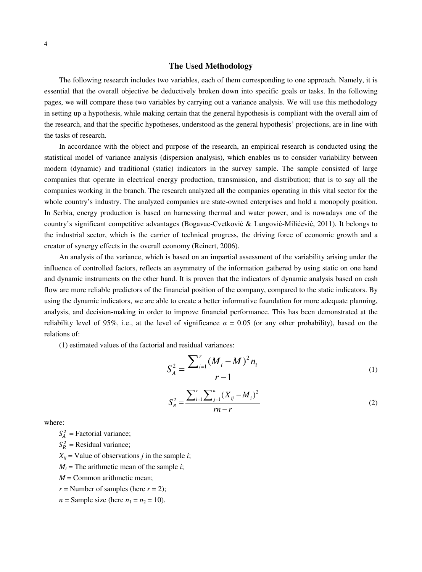#### 4

## **The Used Methodology**

The following research includes two variables, each of them corresponding to one approach. Namely, it is essential that the overall objective be deductively broken down into specific goals or tasks. In the following pages, we will compare these two variables by carrying out a variance analysis. We will use this methodology in setting up a hypothesis, while making certain that the general hypothesis is compliant with the overall aim of the research, and that the specific hypotheses, understood as the general hypothesis' projections, are in line with the tasks of research.

In accordance with the object and purpose of the research, an empirical research is conducted using the statistical model of variance analysis (dispersion analysis), which enables us to consider variability between modern (dynamic) and traditional (static) indicators in the survey sample. The sample consisted of large companies that operate in electrical energy production, transmission, and distribution; that is to say all the companies working in the branch. The research analyzed all the companies operating in this vital sector for the whole country's industry. The analyzed companies are state-owned enterprises and hold a monopoly position. In Serbia, energy production is based on harnessing thermal and water power, and is nowadays one of the country's significant competitive advantages (Bogavac-Cvetković & Langović-Milićević, 2011). It belongs to the industrial sector, which is the carrier of technical progress, the driving force of economic growth and a creator of synergy effects in the overall economy (Reinert, 2006).

An analysis of the variance, which is based on an impartial assessment of the variability arising under the influence of controlled factors, reflects an asymmetry of the information gathered by using static on one hand and dynamic instruments on the other hand. It is proven that the indicators of dynamic analysis based on cash flow are more reliable predictors of the financial position of the company, compared to the static indicators. By using the dynamic indicators, we are able to create a better informative foundation for more adequate planning, analysis, and decision-making in order to improve financial performance. This has been demonstrated at the reliability level of 95%, i.e., at the level of significance  $\alpha = 0.05$  (or any other probability), based on the relations of:

(1) estimated values of the factorial and residual variances:

$$
S_A^2 = \frac{\sum_{i=1}^r (M_i - M)^2 n_i}{r - 1}
$$
 (1)

$$
S_R^2 = \frac{\sum_{i=1}^r \sum_{j=1}^n (X_{ij} - M_i)^2}{rn - r}
$$
 (2)

where:

 $S_A^2$  = Factorial variance;

 $S_R^2$  = Residual variance;

 $X_{ij}$  = Value of observations *j* in the sample *i*;

 $M_i$  = The arithmetic mean of the sample *i*;

 $M =$  Common arithmetic mean;

 $r =$  Number of samples (here  $r = 2$ );

 $n =$  Sample size (here  $n_1 = n_2 = 10$ ).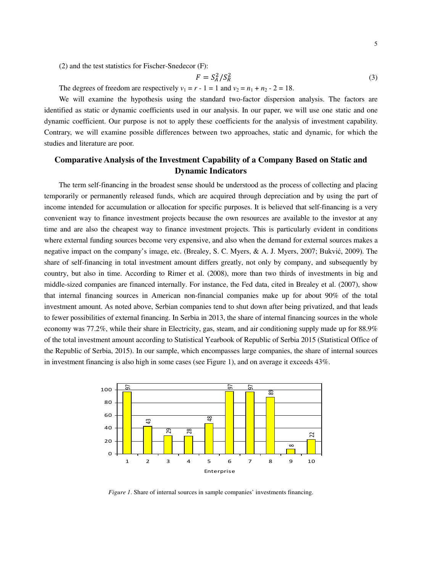(2) and the test statistics for Fischer-Snedecor (F):

$$
F = S_A^2 / S_R^2 \tag{3}
$$

The degrees of freedom are respectively  $v_1 = r - 1 = 1$  and  $v_2 = n_1 + n_2 - 2 = 18$ .

We will examine the hypothesis using the standard two-factor dispersion analysis. The factors are identified as static or dynamic coefficients used in our analysis. In our paper, we will use one static and one dynamic coefficient. Our purpose is not to apply these coefficients for the analysis of investment capability. Contrary, we will examine possible differences between two approaches, static and dynamic, for which the studies and literature are poor.

# **Comparative Analysis of the Investment Capability of a Company Based on Static and Dynamic Indicators**

The term self-financing in the broadest sense should be understood as the process of collecting and placing temporarily or permanently released funds, which are acquired through depreciation and by using the part of income intended for accumulation or allocation for specific purposes. It is believed that self-financing is a very convenient way to finance investment projects because the own resources are available to the investor at any time and are also the cheapest way to finance investment projects. This is particularly evident in conditions where external funding sources become very expensive, and also when the demand for external sources makes a negative impact on the company's image, etc. (Brealey, S. C. Myers, & A. J. Myers, 2007; Bukvić, 2009). The share of self-financing in total investment amount differs greatly, not only by company, and subsequently by country, but also in time. According to Rimer et al. (2008), more than two thirds of investments in big and middle-sized companies are financed internally. For instance, the Fed data, cited in Brealey et al. (2007), show that internal financing sources in American non-financial companies make up for about 90% of the total investment amount. As noted above, Serbian companies tend to shut down after being privatized, and that leads to fewer possibilities of external financing. In Serbia in 2013, the share of internal financing sources in the whole economy was 77.2%, while their share in Electricity, gas, steam, and air conditioning supply made up for 88.9% of the total investment amount according to Statistical Yearbook of Republic of Serbia 2015 (Statistical Office of the Republic of Serbia, 2015). In our sample, which encompasses large companies, the share of internal sources in investment financing is also high in some cases (see Figure 1), and on average it exceeds 43%.

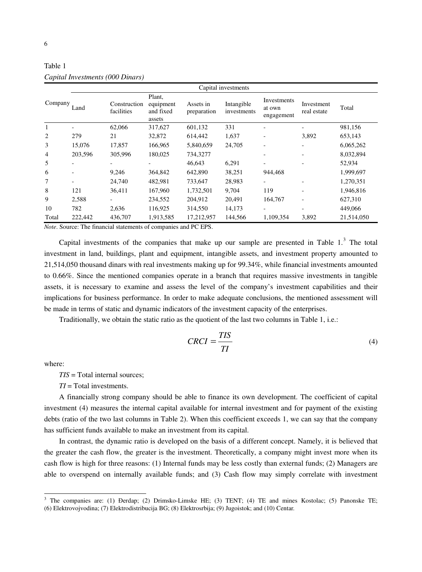|                | Capital investments |                            |                                                                           |                          |                           |                                     |                           |            |
|----------------|---------------------|----------------------------|---------------------------------------------------------------------------|--------------------------|---------------------------|-------------------------------------|---------------------------|------------|
| Company        | Land                | Construction<br>facilities | Plant,<br>equipment<br>and fixed<br>assets                                | Assets in<br>preparation | Intangible<br>investments | Investments<br>at own<br>engagement | Investment<br>real estate | Total      |
|                |                     | 62,066                     | 317,627                                                                   | 601,132                  | 331                       |                                     |                           | 981,156    |
| 2              | 279                 | 21                         | 32,872                                                                    | 614,442                  | 1,637                     |                                     | 3,892                     | 653,143    |
| 3              | 15,076              | 17,857                     | 166,965                                                                   | 5,840,659                | 24,705                    | ۰                                   |                           | 6,065,262  |
| $\overline{4}$ | 203,596             | 305,996                    | 180,025                                                                   | 734,3277                 |                           |                                     |                           | 8,032,894  |
| 5              |                     |                            |                                                                           | 46,643                   | 6,291                     |                                     |                           | 52,934     |
| 6              |                     | 9,246                      | 364,842                                                                   | 642,890                  | 38,251                    | 944,468                             |                           | 1,999,697  |
| 7              |                     | 24,740                     | 482,981                                                                   | 733,647                  | 28,983                    |                                     |                           | 1,270,351  |
| 8              | 121                 | 36,411                     | 167,960                                                                   | 1,732,501                | 9,704                     | 119                                 |                           | 1,946,816  |
| 9              | 2,588               |                            | 234,552                                                                   | 204,912                  | 20,491                    | 164,767                             |                           | 627,310    |
| 10             | 782                 | 2,636                      | 116,925                                                                   | 314,550                  | 14,173                    |                                     |                           | 449,066    |
| Total          | 222,442             | 436,707                    | 1,913,585<br>Note Royman The financial statements of companies and DC EDC | 17,212,957               | 144,566                   | 1,109,354                           | 3,892                     | 21,514,050 |

Table 1 *Capital Investments (000 Dinars)* 

*Note*. Source: The financial statements of companies and PC EPS.

Capital investments of the companies that make up our sample are presented in Table  $1<sup>3</sup>$  $1<sup>3</sup>$  $1<sup>3</sup>$ . The total investment in land, buildings, plant and equipment, intangible assets, and investment property amounted to 21,514,050 thousand dinars with real investments making up for 99.34%, while financial investments amounted to 0.66%. Since the mentioned companies operate in a branch that requires massive investments in tangible assets, it is necessary to examine and assess the level of the company's investment capabilities and their implications for business performance. In order to make adequate conclusions, the mentioned assessment will be made in terms of static and dynamic indicators of the investment capacity of the enterprises.

*TIS*

Traditionally, we obtain the static ratio as the quotient of the last two columns in Table 1, i.e.:

$$
CRCI = \frac{ITS}{TI}
$$
 (4)

where:

 $\overline{a}$ 

*TIS* = Total internal sources;

*TI* = Total investments.

A financially strong company should be able to finance its own development. The coefficient of capital investment (4) measures the internal capital available for internal investment and for payment of the existing debts (ratio of the two last columns in Table 2). When this coefficient exceeds 1, we can say that the company has sufficient funds available to make an investment from its capital.

In contrast, the dynamic ratio is developed on the basis of a different concept. Namely, it is believed that the greater the cash flow, the greater is the investment. Theoretically, a company might invest more when its cash flow is high for three reasons: (1) Internal funds may be less costly than external funds; (2) Managers are able to overspend on internally available funds; and (3) Cash flow may simply correlate with investment

<span id="page-6-0"></span><sup>&</sup>lt;sup>3</sup> The companies are: (1) Đerdap; (2) Drimsko-Limske HE; (3) TENT; (4) TE and mines Kostolac; (5) Panonske TE; (6) Elektrovojvodina; (7) Elektrodistribucija BG; (8) Elektrosrbija; (9) Jugoistok; and (10) Centar.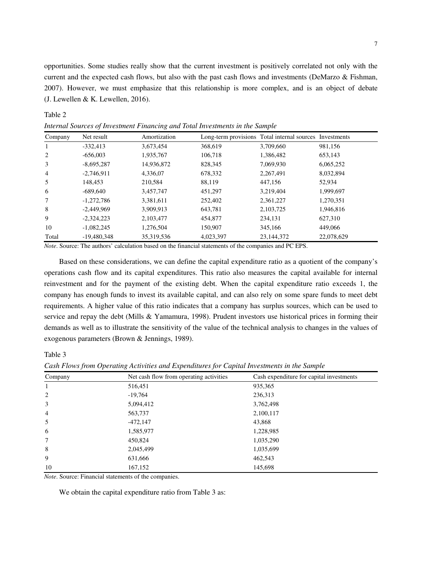opportunities. Some studies really show that the current investment is positively correlated not only with the current and the expected cash flows, but also with the past cash flows and investments (DeMarzo & Fishman, 2007). However, we must emphasize that this relationship is more complex, and is an object of debate (J. Lewellen & K. Lewellen, 2016).

| Company        | Net result    | Amortization |           | Long-term provisions Total internal sources Investments |            |
|----------------|---------------|--------------|-----------|---------------------------------------------------------|------------|
| 1              | $-332,413$    | 3,673,454    | 368,619   | 3,709,660                                               | 981,156    |
| 2              | $-656,003$    | 1,935,767    | 106,718   | 1,386,482                                               | 653,143    |
| 3              | $-8,695,287$  | 14,936,872   | 828,345   | 7,069,930                                               | 6,065,252  |
| $\overline{4}$ | $-2,746,911$  | 4,336,07     | 678,332   | 2,267,491                                               | 8,032,894  |
| 5              | 148,453       | 210,584      | 88,119    | 447,156                                                 | 52.934     |
| 6              | $-689,640$    | 3,457,747    | 451,297   | 3,219,404                                               | 1,999,697  |
| 7              | $-1,272,786$  | 3,381,611    | 252,402   | 2,361,227                                               | 1,270,351  |
| 8              | $-2,449,969$  | 3,909,913    | 643,781   | 2,103,725                                               | 1,946,816  |
| 9              | $-2,324,223$  | 2,103,477    | 454,877   | 234,131                                                 | 627,310    |
| 10             | $-1,082,245$  | 1,276,504    | 150,907   | 345,166                                                 | 449,066    |
| Total          | $-19,480,348$ | 35,319,536   | 4,023,397 | 23,144,372                                              | 22,078,629 |
|                |               |              |           | $\sim$ $\sim$ $\sim$ $\sim$ $\sim$                      |            |

*Internal Sources of Investment Financing and Total Investments in the Sample* 

*Note*. Source: The authors' calculation based on the financial statements of the companies and PC EPS.

Based on these considerations, we can define the capital expenditure ratio as a quotient of the company's operations cash flow and its capital expenditures. This ratio also measures the capital available for internal reinvestment and for the payment of the existing debt. When the capital expenditure ratio exceeds 1, the company has enough funds to invest its available capital, and can also rely on some spare funds to meet debt requirements. A higher value of this ratio indicates that a company has surplus sources, which can be used to service and repay the debt (Mills & Yamamura, 1998). Prudent investors use historical prices in forming their demands as well as to illustrate the sensitivity of the value of the technical analysis to changes in the values of exogenous parameters (Brown & Jennings, 1989).

Table 3

Table 2

*Cash Flows from Operating Activities and Expenditures for Capital Investments in the Sample* 

| Company        | Net cash flow from operating activities | Cash expenditure for capital investments |
|----------------|-----------------------------------------|------------------------------------------|
| 1              | 516,451                                 | 935,365                                  |
| 2              | $-19,764$                               | 236,313                                  |
| 3              | 5,094,412                               | 3,762,498                                |
| $\overline{4}$ | 563,737                                 | 2,100,117                                |
| 5              | $-472,147$                              | 43,868                                   |
| 6              | 1,585,977                               | 1,228,985                                |
| 7              | 450,824                                 | 1,035,290                                |
| 8              | 2,045,499                               | 1,035,699                                |
| 9              | 631,666                                 | 462,543                                  |
| 10             | 167,152                                 | 145,698                                  |

*Note*. Source: Financial statements of the companies.

We obtain the capital expenditure ratio from Table 3 as: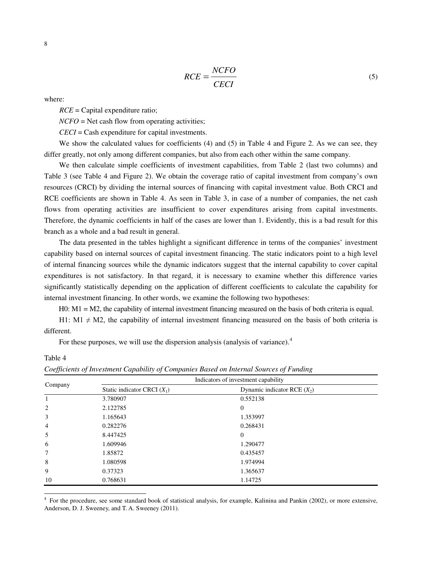$$
RCE = \frac{NCFO}{CECI} \tag{5}
$$

where:

*RCE* = Capital expenditure ratio;

*NCFO* = Net cash flow from operating activities;

*CECI* = Cash expenditure for capital investments.

We show the calculated values for coefficients (4) and (5) in Table 4 and Figure 2. As we can see, they differ greatly, not only among different companies, but also from each other within the same company.

We then calculate simple coefficients of investment capabilities, from Table 2 (last two columns) and Table 3 (see Table 4 and Figure 2). We obtain the coverage ratio of capital investment from company's own resources (CRCI) by dividing the internal sources of financing with capital investment value. Both CRCI and RCE coefficients are shown in Table 4. As seen in Table 3, in case of a number of companies, the net cash flows from operating activities are insufficient to cover expenditures arising from capital investments. Therefore, the dynamic coefficients in half of the cases are lower than 1. Evidently, this is a bad result for this branch as a whole and a bad result in general.

The data presented in the tables highlight a significant difference in terms of the companies' investment capability based on internal sources of capital investment financing. The static indicators point to a high level of internal financing sources while the dynamic indicators suggest that the internal capability to cover capital expenditures is not satisfactory. In that regard, it is necessary to examine whether this difference varies significantly statistically depending on the application of different coefficients to calculate the capability for internal investment financing. In other words, we examine the following two hypotheses:

H0: M1 = M2, the capability of internal investment financing measured on the basis of both criteria is equal.

H1: M1  $\neq$  M2, the capability of internal investment financing measured on the basis of both criteria is different.

For these purposes, we will use the dispersion analysis (analysis of variance).<sup>[4](#page-8-0)</sup>

Table 4

 $\overline{a}$ 

|         | Indicators of investment capability |                               |  |  |  |
|---------|-------------------------------------|-------------------------------|--|--|--|
| Company | Static indicator CRCI $(X_1)$       | Dynamic indicator RCE $(X_2)$ |  |  |  |
|         | 3.780907                            | 0.552138                      |  |  |  |
| 2       | 2.122785                            | $\theta$                      |  |  |  |
| 3       | 1.165643                            | 1.353997                      |  |  |  |
| 4       | 0.282276                            | 0.268431                      |  |  |  |
| 5       | 8.447425                            | $\theta$                      |  |  |  |
| 6       | 1.609946                            | 1.290477                      |  |  |  |
| 7       | 1.85872                             | 0.435457                      |  |  |  |
| 8       | 1.080598                            | 1.974994                      |  |  |  |
| 9       | 0.37323                             | 1.365637                      |  |  |  |
| 10      | 0.768631                            | 1.14725                       |  |  |  |

| Coefficients of Investment Capability of Companies Based on Internal Sources of Funding |  |  |  |
|-----------------------------------------------------------------------------------------|--|--|--|
|                                                                                         |  |  |  |

<span id="page-8-0"></span>4 For the procedure, see some standard book of statistical analysis, for example, Kalinina and Pankin (2002), or more extensive, Anderson, D. J. Sweeney, and T. A. Sweeney (2011).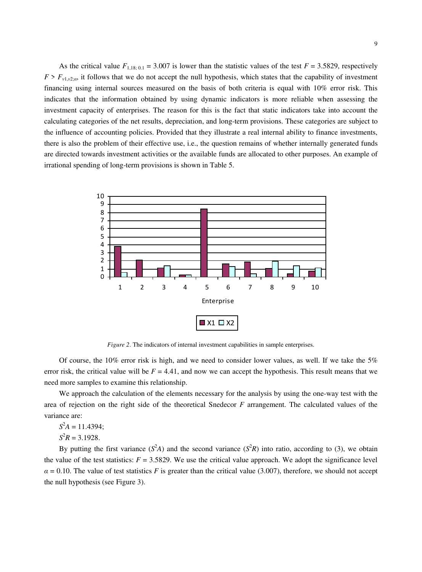As the critical value  $F_{1,18;0,1} = 3.007$  is lower than the statistic values of the test  $F = 3.5829$ , respectively  $F > F_{v1,v2;2}$ , it follows that we do not accept the null hypothesis, which states that the capability of investment financing using internal sources measured on the basis of both criteria is equal with 10% error risk. This indicates that the information obtained by using dynamic indicators is more reliable when assessing the investment capacity of enterprises. The reason for this is the fact that static indicators take into account the calculating categories of the net results, depreciation, and long-term provisions. These categories are subject to the influence of accounting policies. Provided that they illustrate a real internal ability to finance investments, there is also the problem of their effective use, i.e., the question remains of whether internally generated funds are directed towards investment activities or the available funds are allocated to other purposes. An example of irrational spending of long-term provisions is shown in Table 5.



*Figure 2*. The indicators of internal investment capabilities in sample enterprises.

Of course, the 10% error risk is high, and we need to consider lower values, as well. If we take the 5% error risk, the critical value will be  $F = 4.41$ , and now we can accept the hypothesis. This result means that we need more samples to examine this relationship.

We approach the calculation of the elements necessary for the analysis by using the one-way test with the area of rejection on the right side of the theoretical Snedecor *F* arrangement. The calculated values of the variance are:

 $S^2A = 11.4394;$ 

 $S^2R = 3.1928.$ 

By putting the first variance  $(S^2A)$  and the second variance  $(S^2R)$  into ratio, according to (3), we obtain the value of the test statistics:  $F = 3.5829$ . We use the critical value approach. We adopt the significance level  $\alpha$  = 0.10. The value of test statistics *F* is greater than the critical value (3.007), therefore, we should not accept the null hypothesis (see Figure 3).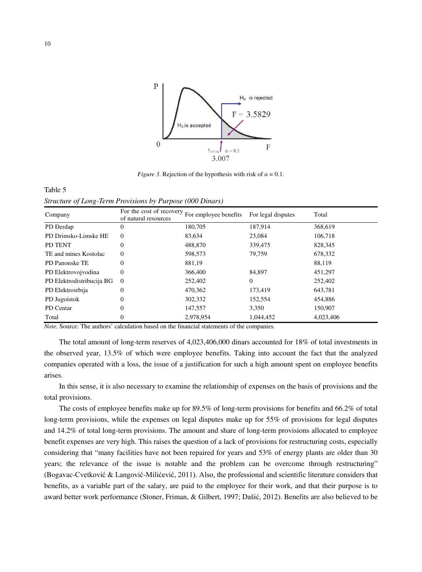

*Figure 3*. Rejection of the hypothesis with risk of  $\alpha = 0.1$ .

Table 5 *Structure of Long-Term Provisions by Purpose (000 Dinars)* 

| Company                   | For the cost of recovery<br>of natural resources | For employee benefits | For legal disputes | Total     |
|---------------------------|--------------------------------------------------|-----------------------|--------------------|-----------|
| PD Derdap                 | $\theta$                                         | 180,705               | 187.914            | 368,619   |
| PD Drimsko-Limske HE      | $\theta$                                         | 83,634                | 23,084             | 106,718   |
| PD TENT                   | 0                                                | 488,870               | 339,475            | 828,345   |
| TE and mines Kostolac     | $\theta$                                         | 598,573               | 79.759             | 678,332   |
| <b>PD</b> Panonske TE     | 0                                                | 881,19                |                    | 88,119    |
| PD Elektrovojvodina       | 0                                                | 366,400               | 84.897             | 451,297   |
| PD Elektrodistribucija BG | $\Omega$                                         | 252,402               | $\mathbf{0}$       | 252,402   |
| PD Elektrosrbija          | 0                                                | 470,362               | 173,419            | 643,781   |
| PD Jugoistok              | 0                                                | 302,332               | 152,554            | 454,886   |
| PD Centar                 | 0                                                | 147,557               | 3,350              | 150,907   |
| Total                     | 0                                                | 2,978,954             | 1,044,452          | 4,023,406 |

*Note*. Source: The authors' calculation based on the financial statements of the companies.

The total amount of long-term reserves of 4,023,406,000 dinars accounted for 18% of total investments in the observed year, 13.5% of which were employee benefits. Taking into account the fact that the analyzed companies operated with a loss, the issue of a justification for such a high amount spent on employee benefits arises.

In this sense, it is also necessary to examine the relationship of expenses on the basis of provisions and the total provisions.

The costs of employee benefits make up for 89.5% of long-term provisions for benefits and 66.2% of total long-term provisions, while the expenses on legal disputes make up for 55% of provisions for legal disputes and 14.2% of total long-term provisions. The amount and share of long-term provisions allocated to employee benefit expenses are very high. This raises the question of a lack of provisions for restructuring costs, especially considering that "many facilities have not been repaired for years and 53% of energy plants are older than 30 years; the relevance of the issue is notable and the problem can be overcome through restructuring" (Bogavac-Cvetković & Langović-Milićević, 2011). Also, the professional and scientific literature considers that benefits, as a variable part of the salary, are paid to the employee for their work, and that their purpose is to award better work performance (Stoner, Friman, & Gilbert, 1997; Dašić, 2012). Benefits are also believed to be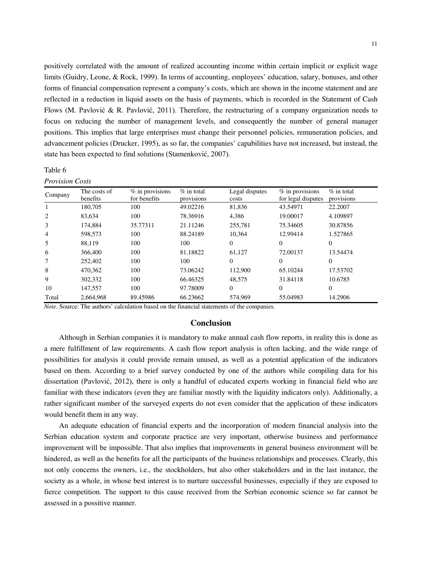positively correlated with the amount of realized accounting income within certain implicit or explicit wage limits (Guidry, Leone, & Rock, 1999). In terms of accounting, employees' education, salary, bonuses, and other forms of financial compensation represent a company's costs, which are shown in the income statement and are reflected in a reduction in liquid assets on the basis of payments, which is recorded in the Statement of Cash Flows (M. Pavlović & R. Pavlović, 2011). Therefore, the restructuring of a company organization needs to focus on reducing the number of management levels, and consequently the number of general manager positions. This implies that large enterprises must change their personnel policies, remuneration policies, and advancement policies (Drucker, 1995), as so far, the companies' capabilities have not increased, but instead, the state has been expected to find solutions (Stamenković, 2007).

### Table 6

## *Provision Costs*

| Company        | The costs of<br>benefits | $%$ in provisions<br>for benefits | $%$ in total<br>provisions | Legal disputes<br>costs | $%$ in provisions<br>for legal disputes | $%$ in total<br>provisions |
|----------------|--------------------------|-----------------------------------|----------------------------|-------------------------|-----------------------------------------|----------------------------|
|                | 180,705                  | 100                               | 49.02216                   | 81,836                  | 43.54971                                | 22.2007                    |
| 2              | 83,634                   | 100                               | 78.36916                   | 4,386                   | 19.00017                                | 4.109897                   |
| 3              | 174,884                  | 35.77311                          | 21.11246                   | 255,781                 | 75.34605                                | 30.87856                   |
| $\overline{4}$ | 598,573                  | 100                               | 88.24189                   | 10.364                  | 12.99414                                | 1.527865                   |
| 5              | 88.119                   | 100                               | 100                        | $\Omega$                | $\Omega$                                | $\Omega$                   |
| 6              | 366,400                  | 100                               | 81.18822                   | 61.127                  | 72.00137                                | 13.54474                   |
| 7              | 252,402                  | 100                               | 100                        | $\Omega$                | $\Omega$                                | $\Omega$                   |
| 8              | 470,362                  | 100                               | 73.06242                   | 112,900                 | 65.10244                                | 17.53702                   |
| 9              | 302,332                  | 100                               | 66.46325                   | 48.575                  | 31.84118                                | 10.6785                    |
| 10             | 147,557                  | 100                               | 97.78009                   | $\Omega$                | 0                                       | $\Omega$                   |
| Total          | 2.664.968                | 89.45986                          | 66.23662                   | 574,969                 | 55.04983                                | 14.2906                    |

*Note*. Source: The authors' calculation based on the financial statements of the companies.

## **Conclusion**

Although in Serbian companies it is mandatory to make annual cash flow reports, in reality this is done as a mere fulfillment of law requirements. A cash flow report analysis is often lacking, and the wide range of possibilities for analysis it could provide remain unused, as well as a potential application of the indicators based on them. According to a brief survey conducted by one of the authors while compiling data for his dissertation (Pavlović, 2012), there is only a handful of educated experts working in financial field who are familiar with these indicators (even they are familiar mostly with the liquidity indicators only). Additionally, a rather significant number of the surveyed experts do not even consider that the application of these indicators would benefit them in any way.

An adequate education of financial experts and the incorporation of modern financial analysis into the Serbian education system and corporate practice are very important, otherwise business and performance improvement will be impossible. That also implies that improvements in general business environment will be hindered, as well as the benefits for all the participants of the business relationships and processes. Clearly, this not only concerns the owners, i.e., the stockholders, but also other stakeholders and in the last instance, the society as a whole, in whose best interest is to nurture successful businesses, especially if they are exposed to fierce competition. The support to this cause received from the Serbian economic science so far cannot be assessed in a possitive manner.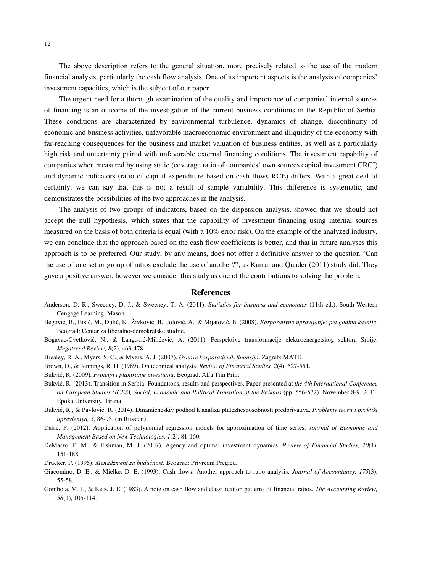The above description refers to the general situation, more precisely related to the use of the modern financial analysis, particularly the cash flow analysis. One of its important aspects is the analysis of companies' investment capacities, which is the subject of our paper.

The urgent need for a thorough examination of the quality and importance of companies' internal sources of financing is an outcome of the investigation of the current business conditions in the Republic of Serbia. These conditions are characterized by environmental turbulence, dynamics of change, discontinuity of economic and business activities, unfavorable macroeconomic environment and illiquidity of the economy with far-reaching consequences for the business and market valuation of business entities, as well as a particularly high risk and uncertainty paired with unfavorable external financing conditions. The investment capability of companies when measured by using static (coverage ratio of companies' own sources capital investment CRCI) and dynamic indicators (ratio of capital expenditure based on cash flows RCE) differs. With a great deal of certainty, we can say that this is not a result of sample variability. This difference is systematic, and demonstrates the possibilities of the two approaches in the analysis.

The analysis of two groups of indicators, based on the dispersion analysis, showed that we should not accept the null hypothesis, which states that the capability of investment financing using internal sources measured on the basis of both criteria is equal (with a 10% error risk). On the example of the analyzed industry, we can conclude that the approach based on the cash flow coefficients is better, and that in future analyses this approach is to be preferred. Our study, by any means, does not offer a definitive answer to the question "Can the use of one set or group of ratios exclude the use of another?", as Kamal and Quader (2011) study did. They gave a positive answer, however we consider this study as one of the contributions to solving the problem.

## **References**

- Anderson, D. R., Sweeney, D. J., & Sweeney, T. A. (2011). *Statistics for business and economics* (11th ed.). South-Western Cengage Learning, Mason.
- Begović, B., Bisić, M., Đulić, K., Živković, B., Jolović, A., & Mijatović, B. (2008). *Korporativno upravljanje: pet godina kasnije*. Beograd: Centar za liberalno-demokratske studije.
- Bogavac-Cvetković, N., & Langović-Milićević, A. (2011). Perspektive transformacije elektroenergetskog sektora Srbije. *Megatrend Review, 8*(2), 463-478.
- Brealey, R. A., Myers, S. C., & Myers, A. J. (2007). *Osnove korporativnih finansija*. Zagreb: MATE.
- Brown, D., & Jennings, R. H. (1989). On technical analysis. *Review of Financial Studies, 2*(4), 527-551.
- Bukvić, R. (2009). *Principi i planiranje investicija*. Beograd: Alfa Tim Print.
- Bukvić, R. (2013). Transition in Serbia: Foundations, results and perspectives. Paper presented at *the 4th International Conference on European Studies (ICES), Social, Economic and Political Transition of the Balkans* (pp. 556-572), November 8-9, 2013, Epoka University, Tirana.
- Bukvić, R., & Pavlović, R. (2014). Dinamicheskiy podhod k analizu platezhesposobnosti predpriyatiya. *Problemy teorii i praktiki upravleniya, 3*, 86-93. (in Russian)
- Dašić, P. (2012). Application of polynomial regression models for approximation of time series. *Journal of Economic and Management Based on New Technologies, 1*(2), 81-160.
- DeMarzo, P. M., & Fishman, M. J. (2007). Agency and optimal investment dynamics. *Review of Financial Studies, 20*(1), 151-188.
- Drucker, P. (1995). *Menadžment za budućnost*. Beograd: Privredni Pregled.
- Giacomino, D. E., & Mielke, D. E. (1993). Cash flows: Another approach to ratio analysis. *Journal of Accountancy, 175*(3), 55-58.
- Gombola, M. J., & Ketz, J. E. (1983). A note on cash flow and classification patterns of financial ratios. *The Accounting Review, 58*(1), 105-114.